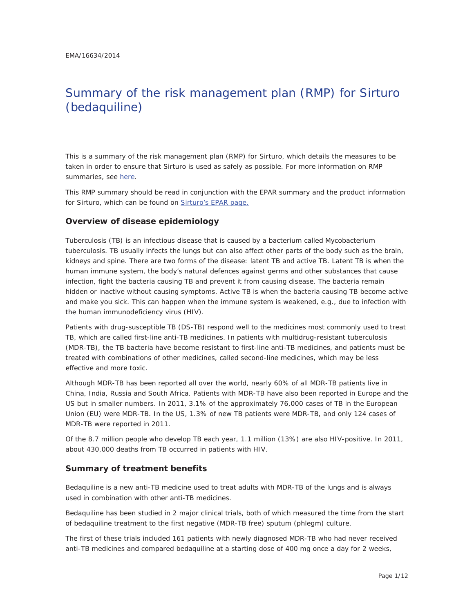# Summary of the risk management plan (RMP) for Sirturo (bedaquiline)

This is a summary of the risk management plan (RMP) for Sirturo, which details the measures to be taken in order to ensure that Sirturo is used as safely as possible. For more information on RMP summaries, see here.

This RMP summary should be read in conjunction with the EPAR summary and the product information for Sirturo, which can be found on Sirturo's EPAR page.

#### **Overview of disease epidemiology**

Tuberculosis (TB) is an infectious disease that is caused by a bacterium called *Mycobacterium tuberculosis*. TB usually infects the lungs but can also affect other parts of the body such as the brain, kidneys and spine. There are two forms of the disease: latent TB and active TB. Latent TB is when the human immune system, the body's natural defences against germs and other substances that cause infection, fight the bacteria causing TB and prevent it from causing disease. The bacteria remain hidden or inactive without causing symptoms. Active TB is when the bacteria causing TB become active and make you sick. This can happen when the immune system is weakened, e.g., due to infection with the human immunodeficiency virus (HIV).

Patients with drug-susceptible TB (DS-TB) respond well to the medicines most commonly used to treat TB, which are called first-line anti-TB medicines. In patients with multidrug-resistant tuberculosis (MDR-TB), the TB bacteria have become resistant to first-line anti-TB medicines, and patients must be treated with combinations of other medicines, called second-line medicines, which may be less effective and more toxic.

Although MDR-TB has been reported all over the world, nearly 60% of all MDR-TB patients live in China, India, Russia and South Africa. Patients with MDR-TB have also been reported in Europe and the US but in smaller numbers. In 2011, 3.1% of the approximately 76,000 cases of TB in the European Union (EU) were MDR-TB. In the US, 1.3% of new TB patients were MDR-TB, and only 124 cases of MDR-TB were reported in 2011.

Of the 8.7 million people who develop TB each year, 1.1 million (13%) are also HIV-positive. In 2011, about 430,000 deaths from TB occurred in patients with HIV.

#### **Summary of treatment benefits**

Bedaquiline is a new anti-TB medicine used to treat adults with MDR-TB of the lungs and is always used in combination with other anti-TB medicines.

Bedaquiline has been studied in 2 major clinical trials, both of which measured the time from the start of bedaquiline treatment to the first negative (MDR-TB free) sputum (phlegm) culture.

The first of these trials included 161 patients with newly diagnosed MDR-TB who had never received anti-TB medicines and compared bedaquiline at a starting dose of 400 mg once a day for 2 weeks,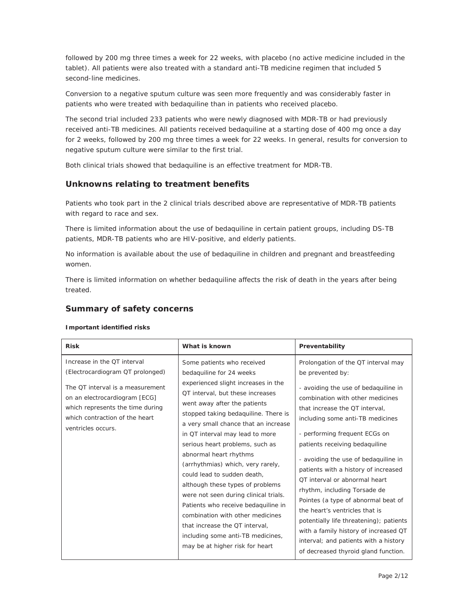followed by 200 mg three times a week for 22 weeks, with placebo (no active medicine included in the tablet). All patients were also treated with a standard anti-TB medicine regimen that included 5 second-line medicines.

Conversion to a negative sputum culture was seen more frequently and was considerably faster in patients who were treated with bedaquiline than in patients who received placebo.

The second trial included 233 patients who were newly diagnosed with MDR-TB or had previously received anti-TB medicines. All patients received bedaquiline at a starting dose of 400 mg once a day for 2 weeks, followed by 200 mg three times a week for 22 weeks. In general, results for conversion to negative sputum culture were similar to the first trial.

Both clinical trials showed that bedaquiline is an effective treatment for MDR-TB.

## **Unknowns relating to treatment benefits**

Patients who took part in the 2 clinical trials described above are representative of MDR-TB patients with regard to race and sex.

There is limited information about the use of bedaquiline in certain patient groups, including DS-TB patients, MDR-TB patients who are HIV-positive, and elderly patients.

No information is available about the use of bedaquiline in children and pregnant and breastfeeding women.

There is limited information on whether bedaquiline affects the risk of death in the years after being treated.

#### **Summary of safety concerns**

#### *Important identified risks*

| <b>Risk</b>                                                                                                                                                                                                                      | What is known                                                                                                                                                                                                                                                                                                                                                                                                                                                                                                                                                                                                                                                                           | Preventability                                                                                                                                                                                                                                                                                                                                                                                                                                                                                                                                                                                                                                                              |
|----------------------------------------------------------------------------------------------------------------------------------------------------------------------------------------------------------------------------------|-----------------------------------------------------------------------------------------------------------------------------------------------------------------------------------------------------------------------------------------------------------------------------------------------------------------------------------------------------------------------------------------------------------------------------------------------------------------------------------------------------------------------------------------------------------------------------------------------------------------------------------------------------------------------------------------|-----------------------------------------------------------------------------------------------------------------------------------------------------------------------------------------------------------------------------------------------------------------------------------------------------------------------------------------------------------------------------------------------------------------------------------------------------------------------------------------------------------------------------------------------------------------------------------------------------------------------------------------------------------------------------|
| Increase in the QT interval<br>(Electrocardiogram QT prolonged)<br>The QT interval is a measurement<br>on an electrocardiogram [ECG]<br>which represents the time during<br>which contraction of the heart<br>ventricles occurs. | Some patients who received<br>bedaquiline for 24 weeks<br>experienced slight increases in the<br>QT interval, but these increases<br>went away after the patients<br>stopped taking bedaquiline. There is<br>a very small chance that an increase<br>in QT interval may lead to more<br>serious heart problems, such as<br>abnormal heart rhythms<br>(arrhythmias) which, very rarely,<br>could lead to sudden death,<br>although these types of problems<br>were not seen during clinical trials.<br>Patients who receive bedaquiline in<br>combination with other medicines<br>that increase the QT interval,<br>including some anti-TB medicines,<br>may be at higher risk for heart | Prolongation of the QT interval may<br>be prevented by:<br>- avoiding the use of bedaquiline in<br>combination with other medicines<br>that increase the QT interval.<br>including some anti-TB medicines<br>- performing frequent ECGs on<br>patients receiving bedaquiline<br>- avoiding the use of bedaquiline in<br>patients with a history of increased<br>QT interval or abnormal heart<br>rhythm, including Torsade de<br>Pointes (a type of abnormal beat of<br>the heart's ventricles that is<br>potentially life threatening); patients<br>with a family history of increased QT<br>interval; and patients with a history<br>of decreased thyroid gland function. |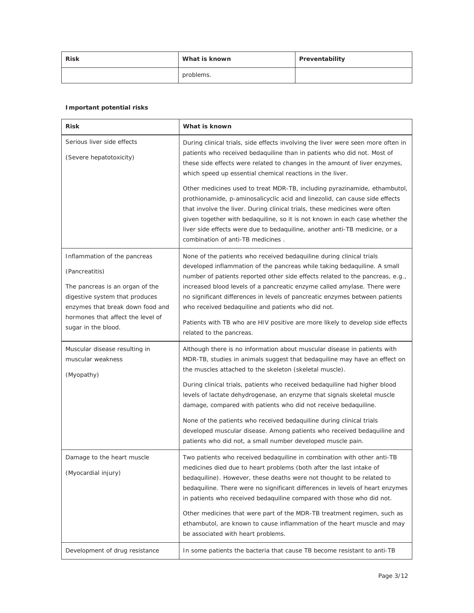| <b>Risk</b> | What is known | Preventability |
|-------------|---------------|----------------|
|             | problems.     |                |

#### *Important potential risks*

| <b>Risk</b>                                                                                                                                                                                                         | What is known                                                                                                                                                                                                                                                                                                                                                                                                                                                                                                                                                                                                                                                  |  |  |
|---------------------------------------------------------------------------------------------------------------------------------------------------------------------------------------------------------------------|----------------------------------------------------------------------------------------------------------------------------------------------------------------------------------------------------------------------------------------------------------------------------------------------------------------------------------------------------------------------------------------------------------------------------------------------------------------------------------------------------------------------------------------------------------------------------------------------------------------------------------------------------------------|--|--|
| Serious liver side effects<br>(Severe hepatotoxicity)                                                                                                                                                               | During clinical trials, side effects involving the liver were seen more often in<br>patients who received bedaquiline than in patients who did not. Most of<br>these side effects were related to changes in the amount of liver enzymes,<br>which speed up essential chemical reactions in the liver.                                                                                                                                                                                                                                                                                                                                                         |  |  |
|                                                                                                                                                                                                                     | Other medicines used to treat MDR-TB, including pyrazinamide, ethambutol,<br>prothionamide, p-aminosalicyclic acid and linezolid, can cause side effects<br>that involve the liver. During clinical trials, these medicines were often<br>given together with bedaquiline, so it is not known in each case whether the<br>liver side effects were due to bedaquiline, another anti-TB medicine, or a<br>combination of anti-TB medicines.                                                                                                                                                                                                                      |  |  |
| Inflammation of the pancreas<br>(Pancreatitis)<br>The pancreas is an organ of the<br>digestive system that produces<br>enzymes that break down food and<br>hormones that affect the level of<br>sugar in the blood. | None of the patients who received bedaquiline during clinical trials<br>developed inflammation of the pancreas while taking bedaquiline. A small<br>number of patients reported other side effects related to the pancreas, e.g.,<br>increased blood levels of a pancreatic enzyme called amylase. There were<br>no significant differences in levels of pancreatic enzymes between patients<br>who received bedaquiline and patients who did not.<br>Patients with TB who are HIV positive are more likely to develop side effects<br>related to the pancreas.                                                                                                |  |  |
| Muscular disease resulting in<br>muscular weakness<br>(Myopathy)                                                                                                                                                    | Although there is no information about muscular disease in patients with<br>MDR-TB, studies in animals suggest that bedaquiline may have an effect on<br>the muscles attached to the skeleton (skeletal muscle).<br>During clinical trials, patients who received bedaquiline had higher blood<br>levels of lactate dehydrogenase, an enzyme that signals skeletal muscle<br>damage, compared with patients who did not receive bedaquiline.<br>None of the patients who received bedaquiline during clinical trials<br>developed muscular disease. Among patients who received bedaquiline and<br>patients who did not, a small number developed muscle pain. |  |  |
| Damage to the heart muscle<br>(Myocardial injury)                                                                                                                                                                   | Two patients who received bedaquiline in combination with other anti-TB<br>medicines died due to heart problems (both after the last intake of<br>bedaquiline). However, these deaths were not thought to be related to<br>bedaquiline. There were no significant differences in levels of heart enzymes<br>in patients who received bedaquiline compared with those who did not.<br>Other medicines that were part of the MDR-TB treatment regimen, such as<br>ethambutol, are known to cause inflammation of the heart muscle and may<br>be associated with heart problems.                                                                                  |  |  |
| Development of drug resistance                                                                                                                                                                                      | In some patients the bacteria that cause TB become resistant to anti-TB                                                                                                                                                                                                                                                                                                                                                                                                                                                                                                                                                                                        |  |  |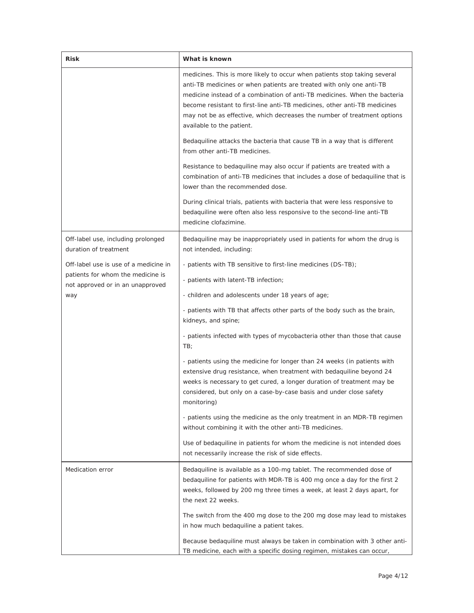| Risk                                                                                                           | What is known                                                                                                                                                                                                                                                                                                                                                                                                        |  |  |
|----------------------------------------------------------------------------------------------------------------|----------------------------------------------------------------------------------------------------------------------------------------------------------------------------------------------------------------------------------------------------------------------------------------------------------------------------------------------------------------------------------------------------------------------|--|--|
|                                                                                                                | medicines. This is more likely to occur when patients stop taking several<br>anti-TB medicines or when patients are treated with only one anti-TB<br>medicine instead of a combination of anti-TB medicines. When the bacteria<br>become resistant to first-line anti-TB medicines, other anti-TB medicines<br>may not be as effective, which decreases the number of treatment options<br>available to the patient. |  |  |
|                                                                                                                | Bedaquiline attacks the bacteria that cause TB in a way that is different<br>from other anti-TB medicines.                                                                                                                                                                                                                                                                                                           |  |  |
|                                                                                                                | Resistance to bedaquiline may also occur if patients are treated with a<br>combination of anti-TB medicines that includes a dose of bedaquiline that is<br>lower than the recommended dose.                                                                                                                                                                                                                          |  |  |
|                                                                                                                | During clinical trials, patients with bacteria that were less responsive to<br>bedaquiline were often also less responsive to the second-line anti-TB<br>medicine clofazimine.                                                                                                                                                                                                                                       |  |  |
| Off-label use, including prolonged<br>duration of treatment                                                    | Bedaquiline may be inappropriately used in patients for whom the drug is<br>not intended, including:                                                                                                                                                                                                                                                                                                                 |  |  |
| Off-label use is use of a medicine in<br>patients for whom the medicine is<br>not approved or in an unapproved | - patients with TB sensitive to first-line medicines (DS-TB);                                                                                                                                                                                                                                                                                                                                                        |  |  |
|                                                                                                                | - patients with latent-TB infection;                                                                                                                                                                                                                                                                                                                                                                                 |  |  |
| way                                                                                                            | - children and adolescents under 18 years of age;                                                                                                                                                                                                                                                                                                                                                                    |  |  |
|                                                                                                                | - patients with TB that affects other parts of the body such as the brain,<br>kidneys, and spine;                                                                                                                                                                                                                                                                                                                    |  |  |
|                                                                                                                | - patients infected with types of mycobacteria other than those that cause<br>TB;                                                                                                                                                                                                                                                                                                                                    |  |  |
|                                                                                                                | - patients using the medicine for longer than 24 weeks (in patients with<br>extensive drug resistance, when treatment with bedaquiline beyond 24<br>weeks is necessary to get cured, a longer duration of treatment may be<br>considered, but only on a case-by-case basis and under close safety<br>monitoring)                                                                                                     |  |  |
|                                                                                                                | - patients using the medicine as the only treatment in an MDR-TB regimen<br>without combining it with the other anti-TB medicines.                                                                                                                                                                                                                                                                                   |  |  |
|                                                                                                                | Use of bedaquiline in patients for whom the medicine is not intended does<br>not necessarily increase the risk of side effects.                                                                                                                                                                                                                                                                                      |  |  |
| Medication error                                                                                               | Bedaquiline is available as a 100-mg tablet. The recommended dose of<br>bedaquiline for patients with MDR-TB is 400 mg once a day for the first 2<br>weeks, followed by 200 mg three times a week, at least 2 days apart, for<br>the next 22 weeks.                                                                                                                                                                  |  |  |
|                                                                                                                | The switch from the 400 mg dose to the 200 mg dose may lead to mistakes<br>in how much bedaquiline a patient takes.                                                                                                                                                                                                                                                                                                  |  |  |
|                                                                                                                | Because bedaquiline must always be taken in combination with 3 other anti-<br>TB medicine, each with a specific dosing regimen, mistakes can occur,                                                                                                                                                                                                                                                                  |  |  |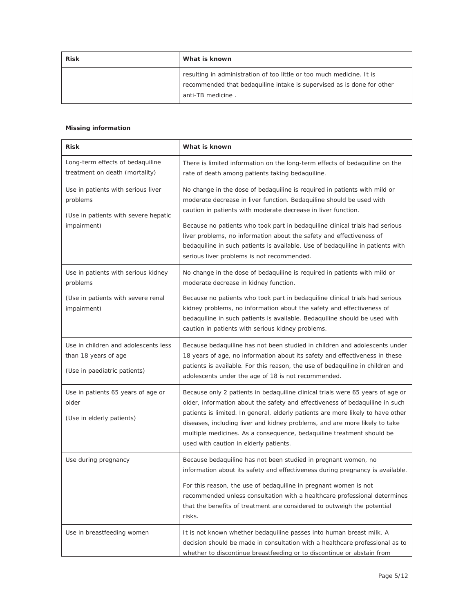| <b>Risk</b> | What is known                                                                                                                                                        |
|-------------|----------------------------------------------------------------------------------------------------------------------------------------------------------------------|
|             | resulting in administration of too little or too much medicine. It is<br>recommended that bedaquiline intake is supervised as is done for other<br>anti-TB medicine. |

#### *Missing information*

| Risk                                                                                                  | What is known                                                                                                                                                                                                                                                                                                                                                                                                                                                                                              |
|-------------------------------------------------------------------------------------------------------|------------------------------------------------------------------------------------------------------------------------------------------------------------------------------------------------------------------------------------------------------------------------------------------------------------------------------------------------------------------------------------------------------------------------------------------------------------------------------------------------------------|
| Long-term effects of bedaquiline<br>treatment on death (mortality)                                    | There is limited information on the long-term effects of bedaquiline on the<br>rate of death among patients taking bedaquiline.                                                                                                                                                                                                                                                                                                                                                                            |
| Use in patients with serious liver<br>problems<br>(Use in patients with severe hepatic<br>impairment) | No change in the dose of bedaquiline is required in patients with mild or<br>moderate decrease in liver function. Bedaquiline should be used with<br>caution in patients with moderate decrease in liver function.<br>Because no patients who took part in bedaquiline clinical trials had serious<br>liver problems, no information about the safety and effectiveness of<br>bedaquiline in such patients is available. Use of bedaquiline in patients with<br>serious liver problems is not recommended. |
| Use in patients with serious kidney<br>problems<br>(Use in patients with severe renal<br>impairment)  | No change in the dose of bedaquiline is required in patients with mild or<br>moderate decrease in kidney function.<br>Because no patients who took part in bedaquiline clinical trials had serious<br>kidney problems, no information about the safety and effectiveness of<br>bedaquiline in such patients is available. Bedaquiline should be used with<br>caution in patients with serious kidney problems.                                                                                             |
| Use in children and adolescents less<br>than 18 years of age<br>(Use in paediatric patients)          | Because bedaquiline has not been studied in children and adolescents under<br>18 years of age, no information about its safety and effectiveness in these<br>patients is available. For this reason, the use of bedaquiline in children and<br>adolescents under the age of 18 is not recommended.                                                                                                                                                                                                         |
| Use in patients 65 years of age or<br>older<br>(Use in elderly patients)                              | Because only 2 patients in bedaquiline clinical trials were 65 years of age or<br>older, information about the safety and effectiveness of bedaquiline in such<br>patients is limited. In general, elderly patients are more likely to have other<br>diseases, including liver and kidney problems, and are more likely to take<br>multiple medicines. As a consequence, bedaquiline treatment should be<br>used with caution in elderly patients.                                                         |
| Use during pregnancy                                                                                  | Because bedaquiline has not been studied in pregnant women, no<br>information about its safety and effectiveness during pregnancy is available.<br>For this reason, the use of bedaquiline in pregnant women is not<br>recommended unless consultation with a healthcare professional determines<br>that the benefits of treatment are considered to outweigh the potential<br>risks.                                                                                                                      |
| Use in breastfeeding women                                                                            | It is not known whether bedaquiline passes into human breast milk. A<br>decision should be made in consultation with a healthcare professional as to<br>whether to discontinue breastfeeding or to discontinue or abstain from                                                                                                                                                                                                                                                                             |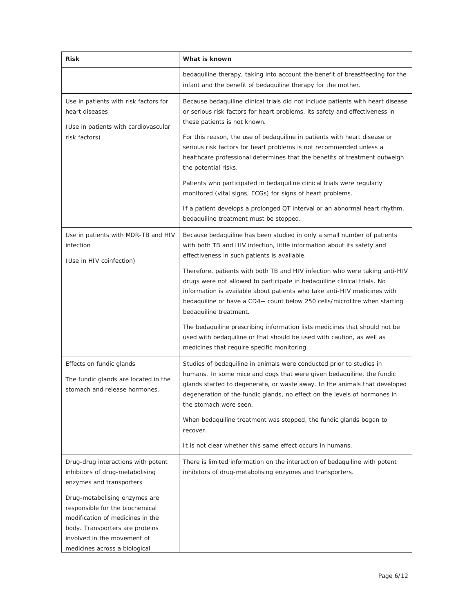| <b>Risk</b>                                                                                                                                                                                             | What is known                                                                                                                                                                                                                                                                                                                              |
|---------------------------------------------------------------------------------------------------------------------------------------------------------------------------------------------------------|--------------------------------------------------------------------------------------------------------------------------------------------------------------------------------------------------------------------------------------------------------------------------------------------------------------------------------------------|
|                                                                                                                                                                                                         | bedaquiline therapy, taking into account the benefit of breastfeeding for the<br>infant and the benefit of bedaquiline therapy for the mother.                                                                                                                                                                                             |
| Use in patients with risk factors for<br>heart diseases<br>(Use in patients with cardiovascular                                                                                                         | Because bedaquiline clinical trials did not include patients with heart disease<br>or serious risk factors for heart problems, its safety and effectiveness in<br>these patients is not known.                                                                                                                                             |
| risk factors)                                                                                                                                                                                           | For this reason, the use of bedaquiline in patients with heart disease or<br>serious risk factors for heart problems is not recommended unless a<br>healthcare professional determines that the benefits of treatment outweigh<br>the potential risks.                                                                                     |
|                                                                                                                                                                                                         | Patients who participated in bedaquiline clinical trials were regularly<br>monitored (vital signs, ECGs) for signs of heart problems.                                                                                                                                                                                                      |
|                                                                                                                                                                                                         | If a patient develops a prolonged QT interval or an abnormal heart rhythm,<br>bedaquiline treatment must be stopped.                                                                                                                                                                                                                       |
| Use in patients with MDR-TB and HIV<br>infection<br>(Use in HIV coinfection)                                                                                                                            | Because bedaquiline has been studied in only a small number of patients<br>with both TB and HIV infection, little information about its safety and<br>effectiveness in such patients is available.                                                                                                                                         |
|                                                                                                                                                                                                         | Therefore, patients with both TB and HIV infection who were taking anti-HIV<br>drugs were not allowed to participate in bedaquiline clinical trials. No<br>information is available about patients who take anti-HIV medicines with<br>bedaquiline or have a CD4+ count below 250 cells/microlitre when starting<br>bedaquiline treatment. |
|                                                                                                                                                                                                         | The bedaquiline prescribing information lists medicines that should not be<br>used with bedaquiline or that should be used with caution, as well as<br>medicines that require specific monitoring.                                                                                                                                         |
| Effects on fundic glands<br>The fundic glands are located in the<br>stomach and release hormones.                                                                                                       | Studies of bedaquiline in animals were conducted prior to studies in<br>humans. In some mice and dogs that were given bedaquiline, the fundic<br>glands started to degenerate, or waste away. In the animals that developed<br>degeneration of the fundic glands, no effect on the levels of hormones in<br>the stomach were seen.         |
|                                                                                                                                                                                                         | When bedaquiline treatment was stopped, the fundic glands began to<br>recover.                                                                                                                                                                                                                                                             |
|                                                                                                                                                                                                         | It is not clear whether this same effect occurs in humans.                                                                                                                                                                                                                                                                                 |
| Drug-drug interactions with potent<br>inhibitors of drug-metabolising<br>enzymes and transporters                                                                                                       | There is limited information on the interaction of bedaquiline with potent<br>inhibitors of drug-metabolising enzymes and transporters.                                                                                                                                                                                                    |
| Drug-metabolising enzymes are<br>responsible for the biochemical<br>modification of medicines in the<br>body. Transporters are proteins<br>involved in the movement of<br>medicines across a biological |                                                                                                                                                                                                                                                                                                                                            |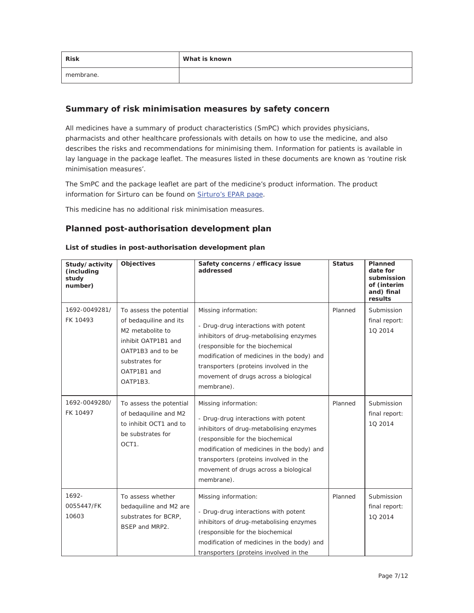| <b>Risk</b> | What is known |
|-------------|---------------|
| membrane.   |               |

# **Summary of risk minimisation measures by safety concern**

All medicines have a summary of product characteristics (SmPC) which provides physicians, pharmacists and other healthcare professionals with details on how to use the medicine, and also describes the risks and recommendations for minimising them. Information for patients is available in lay language in the package leaflet. The measures listed in these documents are known as 'routine risk minimisation measures'.

The SmPC and the package leaflet are part of the medicine's product information. The product information for Sirturo can be found on Sirturo's EPAR page.

This medicine has no additional risk minimisation measures.

## **Planned post-authorisation development plan**

| Study/activity<br>(including<br>study<br>number) | Objectives                                                                                                                                                     | Safety concerns / efficacy issue<br>addressed                                                                                                                                                                                                                                              | <b>Status</b> | Planned<br>date for<br>submission<br>of (interim<br>and) final<br>results |
|--------------------------------------------------|----------------------------------------------------------------------------------------------------------------------------------------------------------------|--------------------------------------------------------------------------------------------------------------------------------------------------------------------------------------------------------------------------------------------------------------------------------------------|---------------|---------------------------------------------------------------------------|
| 1692-0049281/<br>FK 10493                        | To assess the potential<br>of bedaquiline and its<br>M2 metabolite to<br>inhibit OATP1B1 and<br>OATP1B3 and to be<br>substrates for<br>OATP1B1 and<br>OATP1B3. | Missing information:<br>- Drug-drug interactions with potent<br>inhibitors of drug-metabolising enzymes<br>(responsible for the biochemical<br>modification of medicines in the body) and<br>transporters (proteins involved in the<br>movement of drugs across a biological<br>membrane). | Planned       | Submission<br>final report:<br>10 2014                                    |
| 1692-0049280/<br>FK 10497                        | To assess the potential<br>of bedaquiline and M2<br>to inhibit OCT1 and to<br>be substrates for<br>OCT1.                                                       | Missing information:<br>- Drug-drug interactions with potent<br>inhibitors of drug-metabolising enzymes<br>(responsible for the biochemical<br>modification of medicines in the body) and<br>transporters (proteins involved in the<br>movement of drugs across a biological<br>membrane). | Planned       | Submission<br>final report:<br>10 2014                                    |
| 1692-<br>0055447/FK<br>10603                     | To assess whether<br>bedaguiline and M2 are<br>substrates for BCRP,<br>BSEP and MRP2.                                                                          | Missing information:<br>- Drug-drug interactions with potent<br>inhibitors of drug-metabolising enzymes<br>(responsible for the biochemical<br>modification of medicines in the body) and<br>transporters (proteins involved in the                                                        | Planned       | Submission<br>final report:<br>10 2014                                    |

#### *List of studies in post-authorisation development plan*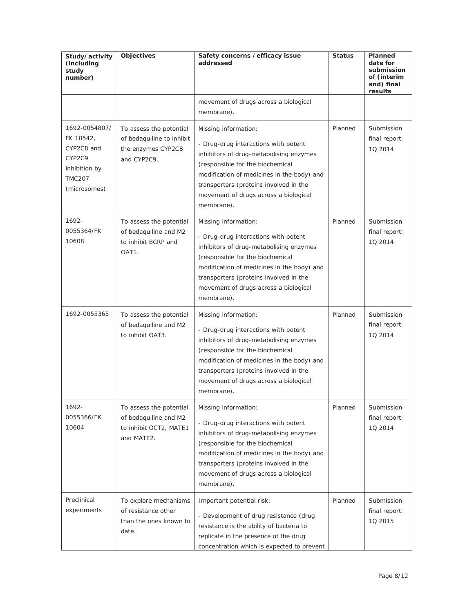| Study/activity<br>(including<br>study<br>number)                                                     | <b>Objectives</b>                                                                           | Safety concerns / efficacy issue<br>addressed                                                                                                                                                                                                                                              | <b>Status</b> | Planned<br>date for<br>submission<br>of (interim<br>and) final<br>results |
|------------------------------------------------------------------------------------------------------|---------------------------------------------------------------------------------------------|--------------------------------------------------------------------------------------------------------------------------------------------------------------------------------------------------------------------------------------------------------------------------------------------|---------------|---------------------------------------------------------------------------|
|                                                                                                      |                                                                                             | movement of drugs across a biological<br>membrane).                                                                                                                                                                                                                                        |               |                                                                           |
| 1692-0054807/<br>FK 10542,<br>CYP2C8 and<br>CYP2C9<br>inhibition by<br><b>TMC207</b><br>(microsomes) | To assess the potential<br>of bedaquiline to inhibit<br>the enzymes CYP2C8<br>and CYP2C9.   | Missing information:<br>- Drug-drug interactions with potent<br>inhibitors of drug-metabolising enzymes<br>(responsible for the biochemical<br>modification of medicines in the body) and<br>transporters (proteins involved in the<br>movement of drugs across a biological<br>membrane). | Planned       | Submission<br>final report:<br>10 2014                                    |
| 1692-<br>0055364/FK<br>10608                                                                         | To assess the potential<br>of bedaquiline and M2<br>to inhibit BCRP and<br>OAT <sub>1</sub> | Missing information:<br>- Drug-drug interactions with potent<br>inhibitors of drug-metabolising enzymes<br>(responsible for the biochemical<br>modification of medicines in the body) and<br>transporters (proteins involved in the<br>movement of drugs across a biological<br>membrane). | Planned       | Submission<br>final report:<br>10 2014                                    |
| 1692-0055365                                                                                         | To assess the potential<br>of bedaquiline and M2<br>to inhibit OAT3.                        | Missing information:<br>- Drug-drug interactions with potent<br>inhibitors of drug-metabolising enzymes<br>(responsible for the biochemical<br>modification of medicines in the body) and<br>transporters (proteins involved in the<br>movement of drugs across a biological<br>membrane). | Planned       | Submission<br>final report:<br>10 2014                                    |
| 1692-<br>0055366/FK<br>10604                                                                         | To assess the potential<br>of bedaquiline and M2<br>to inhibit OCT2, MATE1<br>and MATE2.    | Missing information:<br>- Drug-drug interactions with potent<br>inhibitors of drug-metabolising enzymes<br>(responsible for the biochemical<br>modification of medicines in the body) and<br>transporters (proteins involved in the<br>movement of drugs across a biological<br>membrane). | Planned       | Submission<br>final report:<br>10 2014                                    |
| Preclinical<br>experiments                                                                           | To explore mechanisms<br>of resistance other<br>than the ones known to<br>date.             | Important potential risk:<br>- Development of drug resistance (drug<br>resistance is the ability of bacteria to<br>replicate in the presence of the drug<br>concentration which is expected to prevent                                                                                     | Planned       | Submission<br>final report:<br>1Q 2015                                    |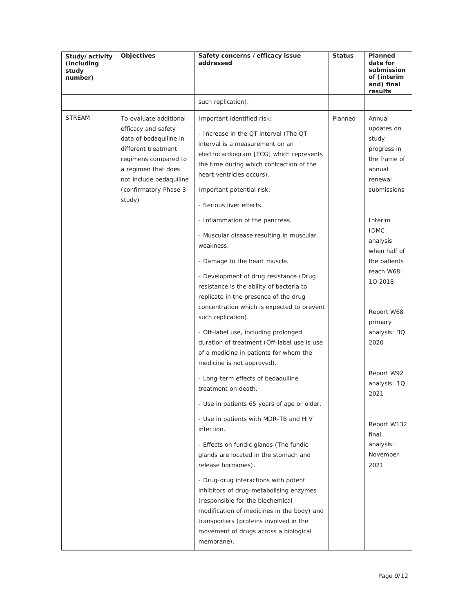| Study/activity<br>(including<br>study<br>number) | Objectives                                                                                                                                                                                                  | Safety concerns / efficacy issue<br>addressed                                                                                                                                                                                                                                                                                                                                                                                                                                                                                                                                                                                                                                                                                                                                                                                                                                                                                                                                                                                                 | <b>Status</b> | Planned<br>date for<br>submission<br>of (interim<br>and) final<br>results                                                                                                                                                                   |
|--------------------------------------------------|-------------------------------------------------------------------------------------------------------------------------------------------------------------------------------------------------------------|-----------------------------------------------------------------------------------------------------------------------------------------------------------------------------------------------------------------------------------------------------------------------------------------------------------------------------------------------------------------------------------------------------------------------------------------------------------------------------------------------------------------------------------------------------------------------------------------------------------------------------------------------------------------------------------------------------------------------------------------------------------------------------------------------------------------------------------------------------------------------------------------------------------------------------------------------------------------------------------------------------------------------------------------------|---------------|---------------------------------------------------------------------------------------------------------------------------------------------------------------------------------------------------------------------------------------------|
|                                                  |                                                                                                                                                                                                             | such replication).                                                                                                                                                                                                                                                                                                                                                                                                                                                                                                                                                                                                                                                                                                                                                                                                                                                                                                                                                                                                                            |               |                                                                                                                                                                                                                                             |
| <b>STREAM</b>                                    | To evaluate additional<br>efficacy and safety<br>data of bedaquiline in<br>different treatment<br>regimens compared to<br>a regimen that does<br>not include bedaquiline<br>(confirmatory Phase 3<br>study) | Important identified risk:<br>- Increase in the QT interval (The QT<br>interval is a measurement on an<br>electrocardiogram [ECG] which represents<br>the time during which contraction of the<br>heart ventricles occurs).<br>Important potential risk:<br>- Serious liver effects.                                                                                                                                                                                                                                                                                                                                                                                                                                                                                                                                                                                                                                                                                                                                                          | Planned       | Annual<br>updates on<br>study<br>progress in<br>the frame of<br>annual<br>renewal<br>submissions                                                                                                                                            |
|                                                  |                                                                                                                                                                                                             | - Inflammation of the pancreas.<br>- Muscular disease resulting in muscular<br>weakness.<br>- Damage to the heart muscle.<br>- Development of drug resistance (Drug<br>resistance is the ability of bacteria to<br>replicate in the presence of the drug<br>concentration which is expected to prevent<br>such replication).<br>- Off-label use, including prolonged<br>duration of treatment (Off-label use is use<br>of a medicine in patients for whom the<br>medicine is not approved).<br>- Long-term effects of bedaquiline<br>treatment on death.<br>- Use in patients 65 years of age or older.<br>- Use in patients with MDR-TB and HIV<br>infection.<br>- Effects on fundic glands (The fundic<br>glands are located in the stomach and<br>release hormones).<br>- Drug-drug interactions with potent<br>inhibitors of drug-metabolising enzymes<br>(responsible for the biochemical<br>modification of medicines in the body) and<br>transporters (proteins involved in the<br>movement of drugs across a biological<br>membrane). |               | Interim<br><b>IDMC</b><br>analysis<br>when half of<br>the patients<br>reach W68:<br>10 2018<br>Report W68<br>primary<br>analysis: 3Q<br>2020<br>Report W92<br>analysis: 1Q<br>2021<br>Report W132<br>final<br>analysis:<br>November<br>2021 |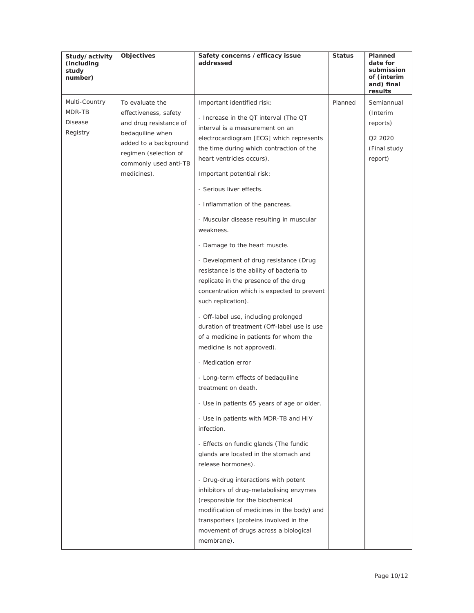| Study/activity<br>(including<br>study<br>number) | Objectives                                                                                                                                                                       | Safety concerns / efficacy issue<br>addressed                                                                                                                                                                                                                                                                                                                                                                                                                                                                                                                                                                                                                                                                                                                                                                                                                                                                                                                                                                                                                                                                                                                                                                | <b>Status</b> | Planned<br>date for<br>submission<br>of (interim<br>and) final<br>results |
|--------------------------------------------------|----------------------------------------------------------------------------------------------------------------------------------------------------------------------------------|--------------------------------------------------------------------------------------------------------------------------------------------------------------------------------------------------------------------------------------------------------------------------------------------------------------------------------------------------------------------------------------------------------------------------------------------------------------------------------------------------------------------------------------------------------------------------------------------------------------------------------------------------------------------------------------------------------------------------------------------------------------------------------------------------------------------------------------------------------------------------------------------------------------------------------------------------------------------------------------------------------------------------------------------------------------------------------------------------------------------------------------------------------------------------------------------------------------|---------------|---------------------------------------------------------------------------|
| Multi-Country<br>MDR-TB<br>Disease<br>Registry   | To evaluate the<br>effectiveness, safety<br>and drug resistance of<br>bedaquiline when<br>added to a background<br>regimen (selection of<br>commonly used anti-TB<br>medicines). | Important identified risk:<br>- Increase in the QT interval (The QT<br>interval is a measurement on an<br>electrocardiogram [ECG] which represents<br>the time during which contraction of the<br>heart ventricles occurs).<br>Important potential risk:<br>- Serious liver effects.<br>- Inflammation of the pancreas.<br>- Muscular disease resulting in muscular<br>weakness.<br>- Damage to the heart muscle.<br>- Development of drug resistance (Drug<br>resistance is the ability of bacteria to<br>replicate in the presence of the drug<br>concentration which is expected to prevent<br>such replication).<br>- Off-label use, including prolonged<br>duration of treatment (Off-label use is use<br>of a medicine in patients for whom the<br>medicine is not approved).<br>- Medication error<br>- Long-term effects of bedaquiline<br>treatment on death.<br>- Use in patients 65 years of age or older.<br>- Use in patients with MDR-TB and HIV<br>infection.<br>- Effects on fundic glands (The fundic<br>glands are located in the stomach and<br>release hormones).<br>- Drug-drug interactions with potent<br>inhibitors of drug-metabolising enzymes<br>(responsible for the biochemical | Planned       | Semiannual<br>(Interim<br>reports)<br>Q2 2020<br>(Final study<br>report)  |
|                                                  |                                                                                                                                                                                  | modification of medicines in the body) and<br>transporters (proteins involved in the<br>movement of drugs across a biological<br>membrane).                                                                                                                                                                                                                                                                                                                                                                                                                                                                                                                                                                                                                                                                                                                                                                                                                                                                                                                                                                                                                                                                  |               |                                                                           |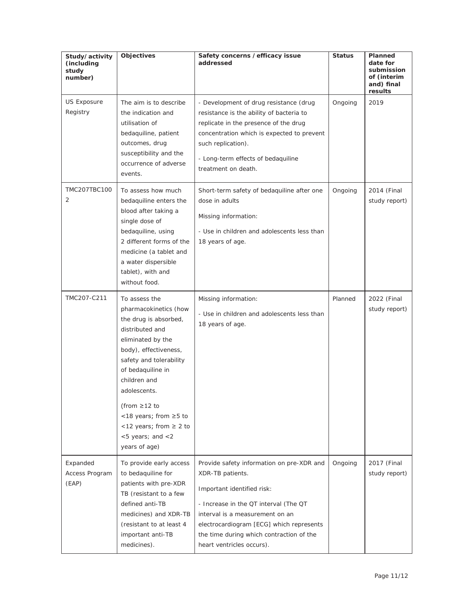| Study/activity<br>(including<br>study<br>number) | Objectives                                                                                                                                                                                                                                                                                                                          | Safety concerns / efficacy issue<br>addressed                                                                                                                                                                                                                                                | <b>Status</b> | Planned<br>date for<br>submission<br>of (interim<br>and) final<br>results |
|--------------------------------------------------|-------------------------------------------------------------------------------------------------------------------------------------------------------------------------------------------------------------------------------------------------------------------------------------------------------------------------------------|----------------------------------------------------------------------------------------------------------------------------------------------------------------------------------------------------------------------------------------------------------------------------------------------|---------------|---------------------------------------------------------------------------|
| US Exposure<br>Registry                          | The aim is to describe<br>the indication and<br>utilisation of<br>bedaquiline, patient<br>outcomes, drug<br>susceptibility and the<br>occurrence of adverse<br>events.                                                                                                                                                              | - Development of drug resistance (drug<br>resistance is the ability of bacteria to<br>replicate in the presence of the drug<br>concentration which is expected to prevent<br>such replication).<br>- Long-term effects of bedaquiline<br>treatment on death.                                 | Ongoing       | 2019                                                                      |
| TMC207TBC100<br>2                                | To assess how much<br>bedaquiline enters the<br>blood after taking a<br>single dose of<br>bedaquiline, using<br>2 different forms of the<br>medicine (a tablet and<br>a water dispersible<br>tablet), with and<br>without food.                                                                                                     | Short-term safety of bedaquiline after one<br>dose in adults<br>Missing information:<br>- Use in children and adolescents less than<br>18 years of age.                                                                                                                                      | Ongoing       | 2014 (Final<br>study report)                                              |
| TMC207-C211                                      | To assess the<br>pharmacokinetics (how<br>the drug is absorbed,<br>distributed and<br>eliminated by the<br>body), effectiveness,<br>safety and tolerability<br>of bedaquiline in<br>children and<br>adolescents.<br>(from $\geq$ 12 to<br><18 years; from ≥5 to<br><12 years; from $\geq$ 2 to<br><5 years; and <2<br>years of age) | Missing information:<br>- Use in children and adolescents less than<br>18 years of age.                                                                                                                                                                                                      | Planned       | 2022 (Final<br>study report)                                              |
| Expanded<br>Access Program<br>(EAP)              | To provide early access<br>to bedaquiline for<br>patients with pre-XDR<br>TB (resistant to a few<br>defined anti-TB<br>medicines) and XDR-TB<br>(resistant to at least 4<br>important anti-TB<br>medicines).                                                                                                                        | Provide safety information on pre-XDR and<br>XDR-TB patients.<br>Important identified risk:<br>- Increase in the QT interval (The QT<br>interval is a measurement on an<br>electrocardiogram [ECG] which represents<br>the time during which contraction of the<br>heart ventricles occurs). | Ongoing       | 2017 (Final<br>study report)                                              |